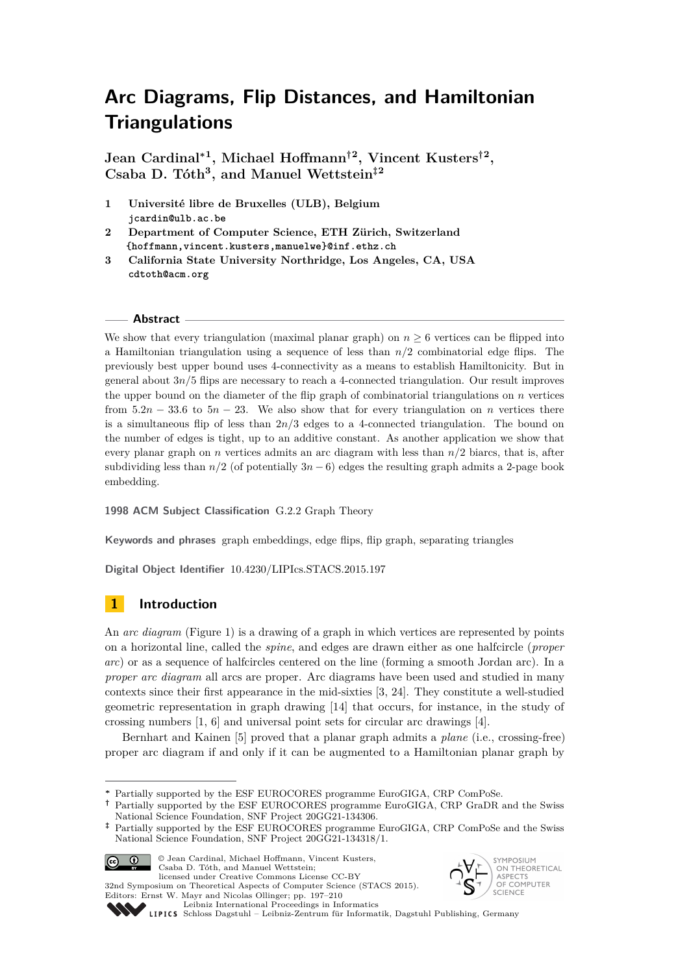**Jean Cardinal<sup>∗</sup><sup>1</sup> , Michael Hoffmann†<sup>2</sup> , Vincent Kusters†<sup>2</sup> , Csaba D. Tóth<sup>3</sup> , and Manuel Wettstein‡<sup>2</sup>**

**1 Université libre de Bruxelles (ULB), Belgium jcardin@ulb.ac.be**

**2 Department of Computer Science, ETH Zürich, Switzerland {hoffmann,vincent.kusters,manuelwe}@inf.ethz.ch**

**3 California State University Northridge, Los Angeles, CA, USA cdtoth@acm.org**

#### **Abstract**

We show that every triangulation (maximal planar graph) on  $n \geq 6$  vertices can be flipped into a Hamiltonian triangulation using a sequence of less than *n/*2 combinatorial edge flips. The previously best upper bound uses 4-connectivity as a means to establish Hamiltonicity. But in general about  $3n/5$  flips are necessary to reach a 4-connected triangulation. Our result improves the upper bound on the diameter of the flip graph of combinatorial triangulations on *n* vertices from  $5.2n - 33.6$  to  $5n - 23$ . We also show that for every triangulation on *n* vertices there is a simultaneous flip of less than  $2n/3$  edges to a 4-connected triangulation. The bound on the number of edges is tight, up to an additive constant. As another application we show that every planar graph on *n* vertices admits an arc diagram with less than *n/*2 biarcs, that is, after subdividing less than  $n/2$  (of potentially  $3n - 6$ ) edges the resulting graph admits a 2-page book embedding.

**1998 ACM Subject Classification** G.2.2 Graph Theory

**Keywords and phrases** graph embeddings, edge flips, flip graph, separating triangles

**Digital Object Identifier** [10.4230/LIPIcs.STACS.2015.197](http://dx.doi.org/10.4230/LIPIcs.STACS.2015.197)

## **1 Introduction**

An *arc diagram* (Figure [1\)](#page-1-0) is a drawing of a graph in which vertices are represented by points on a horizontal line, called the *spine*, and edges are drawn either as one halfcircle (*proper arc*) or as a sequence of halfcircles centered on the line (forming a smooth Jordan arc). In a *proper arc diagram* all arcs are proper. Arc diagrams have been used and studied in many contexts since their first appearance in the mid-sixties [\[3,](#page-11-0) [24\]](#page-12-0). They constitute a well-studied geometric representation in graph drawing [\[14\]](#page-12-1) that occurs, for instance, in the study of crossing numbers [\[1,](#page-11-1) [6\]](#page-12-2) and universal point sets for circular arc drawings [\[4\]](#page-12-3).

Bernhart and Kainen [\[5\]](#page-12-4) proved that a planar graph admits a *plane* (i.e., crossing-free) proper arc diagram if and only if it can be augmented to a Hamiltonian planar graph by

**<sup>‡</sup>** Partially supported by the ESF EUROCORES programme EuroGIGA, CRP ComPoSe and the Swiss National Science Foundation, SNF Project 20GG21-134318/1.



© Jean Cardinal, Michael Hoffmann, Vincent Kusters, Csaba D. Tóth, and Manuel Wettstein; licensed under Creative Commons License CC-BY

32nd Symposium on Theoretical Aspects of Computer Science (STACS 2015). Editors: Ernst W. Mayr and Nicolas Ollinger; pp. 197[–210](#page-13-0) [Leibniz International Proceedings in Informatics](http://www.dagstuhl.de/lipics/)



[Schloss Dagstuhl – Leibniz-Zentrum für Informatik, Dagstuhl Publishing, Germany](http://www.dagstuhl.de)

**<sup>∗</sup>** Partially supported by the ESF EUROCORES programme EuroGIGA, CRP ComPoSe.

**<sup>†</sup>** Partially supported by the ESF EUROCORES programme EuroGIGA, CRP GraDR and the Swiss National Science Foundation, SNF Project 20GG21-134306.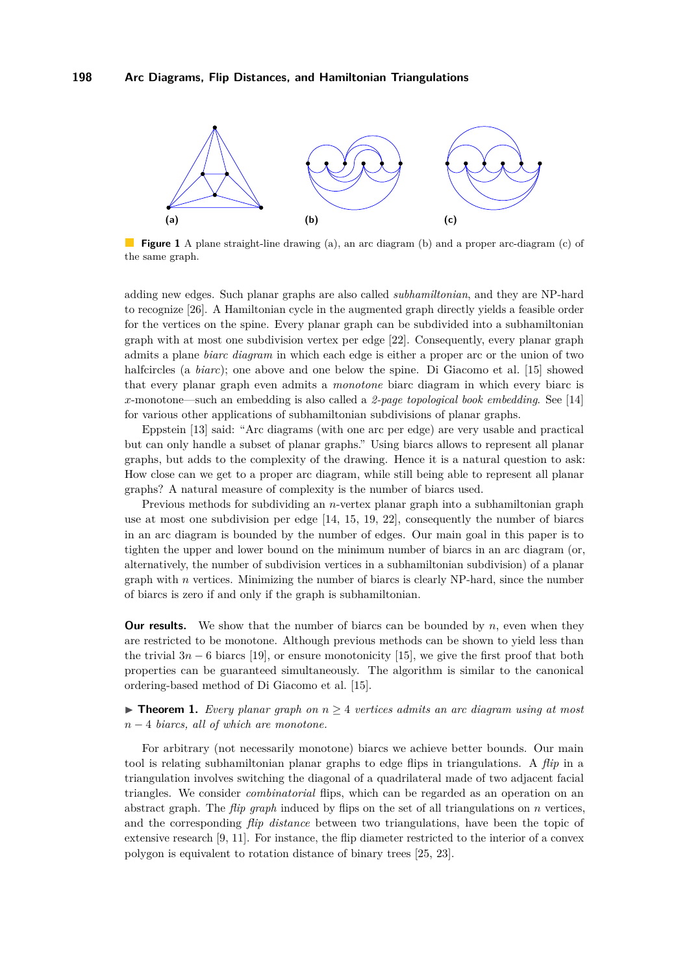<span id="page-1-0"></span>

**Figure 1** A plane straight-line drawing (a), an arc diagram (b) and a proper arc-diagram (c) of the same graph.

adding new edges. Such planar graphs are also called *subhamiltonian*, and they are NP-hard to recognize [\[26\]](#page-13-1). A Hamiltonian cycle in the augmented graph directly yields a feasible order for the vertices on the spine. Every planar graph can be subdivided into a subhamiltonian graph with at most one subdivision vertex per edge [\[22\]](#page-12-5). Consequently, every planar graph admits a plane *biarc diagram* in which each edge is either a proper arc or the union of two halfcircles (a *biarc*); one above and one below the spine. Di Giacomo et al. [\[15\]](#page-12-6) showed that every planar graph even admits a *monotone* biarc diagram in which every biarc is *x*-monotone—such an embedding is also called a *2-page topological book embedding*. See [\[14\]](#page-12-1) for various other applications of subhamiltonian subdivisions of planar graphs.

Eppstein [\[13\]](#page-12-7) said: "Arc diagrams (with one arc per edge) are very usable and practical but can only handle a subset of planar graphs." Using biarcs allows to represent all planar graphs, but adds to the complexity of the drawing. Hence it is a natural question to ask: How close can we get to a proper arc diagram, while still being able to represent all planar graphs? A natural measure of complexity is the number of biarcs used.

Previous methods for subdividing an *n*-vertex planar graph into a subhamiltonian graph use at most one subdivision per edge [\[14,](#page-12-1) [15,](#page-12-6) [19,](#page-12-8) [22\]](#page-12-5), consequently the number of biarcs in an arc diagram is bounded by the number of edges. Our main goal in this paper is to tighten the upper and lower bound on the minimum number of biarcs in an arc diagram (or, alternatively, the number of subdivision vertices in a subhamiltonian subdivision) of a planar graph with *n* vertices. Minimizing the number of biarcs is clearly NP-hard, since the number of biarcs is zero if and only if the graph is subhamiltonian.

**Our results.** We show that the number of biarcs can be bounded by *n*, even when they are restricted to be monotone. Although previous methods can be shown to yield less than the trivial  $3n - 6$  biarcs [\[19\]](#page-12-8), or ensure monotonicity [\[15\]](#page-12-6), we give the first proof that both properties can be guaranteed simultaneously. The algorithm is similar to the canonical ordering-based method of Di Giacomo et al. [\[15\]](#page-12-6).

<span id="page-1-1"></span>**► Theorem 1.** *Every planar graph on*  $n \geq 4$  *vertices admits an arc diagram using at most n* − 4 *biarcs, all of which are monotone.*

For arbitrary (not necessarily monotone) biarcs we achieve better bounds. Our main tool is relating subhamiltonian planar graphs to edge flips in triangulations. A *flip* in a triangulation involves switching the diagonal of a quadrilateral made of two adjacent facial triangles. We consider *combinatorial* flips, which can be regarded as an operation on an abstract graph. The *flip graph* induced by flips on the set of all triangulations on *n* vertices, and the corresponding *flip distance* between two triangulations, have been the topic of extensive research [\[9,](#page-12-9) [11\]](#page-12-10). For instance, the flip diameter restricted to the interior of a convex polygon is equivalent to rotation distance of binary trees [\[25,](#page-12-11) [23\]](#page-12-12).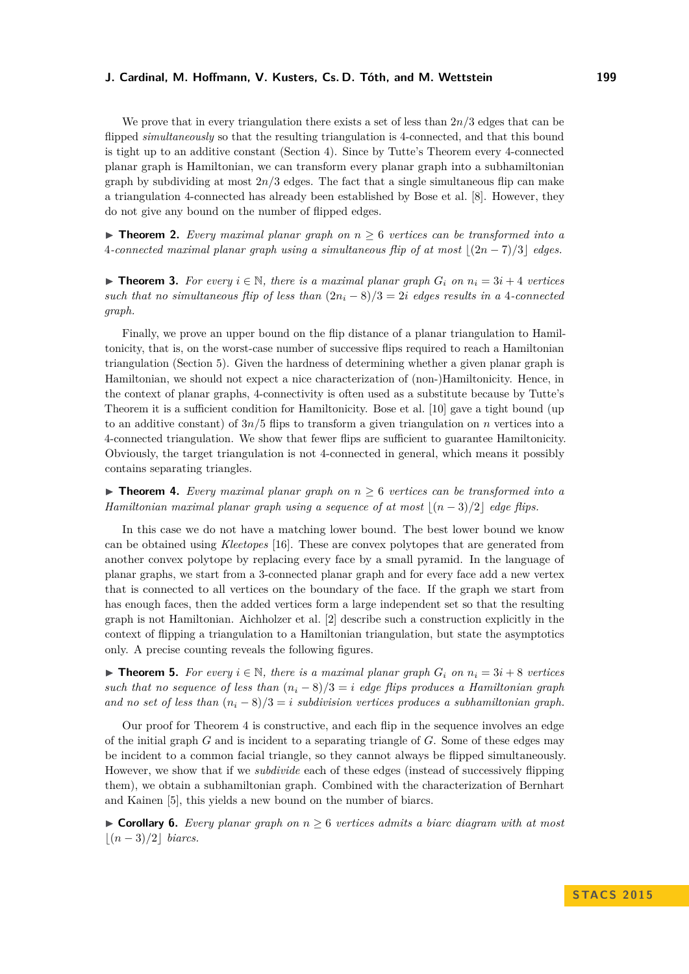We prove that in every triangulation there exists a set of less than 2*n/*3 edges that can be flipped *simultaneously* so that the resulting triangulation is 4-connected, and that this bound is tight up to an additive constant (Section [4\)](#page-4-0). Since by Tutte's Theorem every 4-connected planar graph is Hamiltonian, we can transform every planar graph into a subhamiltonian graph by subdividing at most  $2n/3$  edges. The fact that a single simultaneous flip can make a triangulation 4-connected has already been established by Bose et al. [\[8\]](#page-12-13). However, they do not give any bound on the number of flipped edges.

<span id="page-2-1"></span>**► Theorem 2.** *Every maximal planar graph on*  $n \geq 6$  *vertices can be transformed into a* 4*-connected maximal planar graph using a simultaneous flip of at most*  $|(2n - 7)/3|$  *edges.* 

▶ **Theorem 3.** For every  $i \in \mathbb{N}$ , there is a maximal planar graph  $G_i$  on  $n_i = 3i + 4$  vertices *such that no simultaneous flip of less than*  $(2n_i - 8)/3 = 2i$  *edges results in a* 4*-connected graph.*

Finally, we prove an upper bound on the flip distance of a planar triangulation to Hamiltonicity, that is, on the worst-case number of successive flips required to reach a Hamiltonian triangulation (Section [5\)](#page-5-0). Given the hardness of determining whether a given planar graph is Hamiltonian, we should not expect a nice characterization of (non-)Hamiltonicity. Hence, in the context of planar graphs, 4-connectivity is often used as a substitute because by Tutte's Theorem it is a sufficient condition for Hamiltonicity. Bose et al. [\[10\]](#page-12-14) gave a tight bound (up to an additive constant) of  $3n/5$  flips to transform a given triangulation on *n* vertices into a 4-connected triangulation. We show that fewer flips are sufficient to guarantee Hamiltonicity. Obviously, the target triangulation is not 4-connected in general, which means it possibly contains separating triangles.

<span id="page-2-0"></span>**Findment 4.** Every maximal planar graph on  $n \geq 6$  vertices can be transformed into a *Hamiltonian maximal planar graph using a sequence of at most*  $|(n-3)/2|$  *edge flips.* 

In this case we do not have a matching lower bound. The best lower bound we know can be obtained using *Kleetopes* [\[16\]](#page-12-15). These are convex polytopes that are generated from another convex polytope by replacing every face by a small pyramid. In the language of planar graphs, we start from a 3-connected planar graph and for every face add a new vertex that is connected to all vertices on the boundary of the face. If the graph we start from has enough faces, then the added vertices form a large independent set so that the resulting graph is not Hamiltonian. Aichholzer et al. [\[2\]](#page-11-2) describe such a construction explicitly in the context of flipping a triangulation to a Hamiltonian triangulation, but state the asymptotics only. A precise counting reveals the following figures.

■ **Theorem 5.** For every  $i \in \mathbb{N}$ , there is a maximal planar graph  $G_i$  on  $n_i = 3i + 8$  vertices *such that no sequence of less than*  $(n_i - 8)/3 = i$  *edge flips produces a Hamiltonian graph* and no set of less than  $(n_i - 8)/3 = i$  subdivision vertices produces a subhamiltonian graph.

Our proof for Theorem [4](#page-2-0) is constructive, and each flip in the sequence involves an edge of the initial graph *G* and is incident to a separating triangle of *G*. Some of these edges may be incident to a common facial triangle, so they cannot always be flipped simultaneously. However, we show that if we *subdivide* each of these edges (instead of successively flipping them), we obtain a subhamiltonian graph. Combined with the characterization of Bernhart and Kainen [\[5\]](#page-12-4), this yields a new bound on the number of biarcs.

<span id="page-2-2"></span>**► Corollary 6.** *Every planar graph on*  $n ≥ 6$  *vertices admits a biarc diagram with at most*  $|(n-3)/2|$  *biarcs.*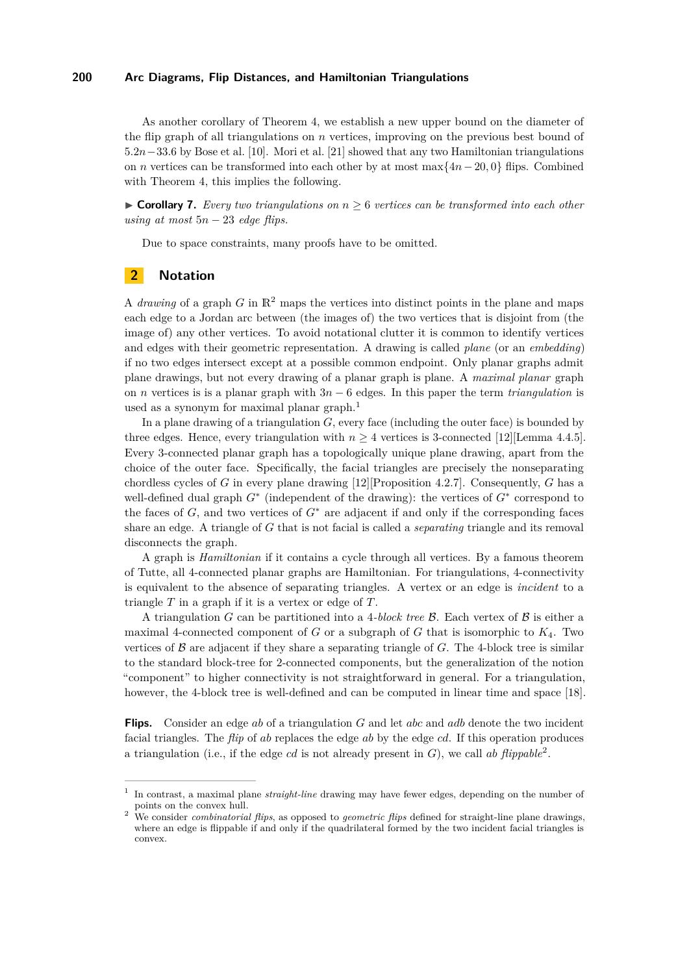As another corollary of Theorem [4,](#page-2-0) we establish a new upper bound on the diameter of the flip graph of all triangulations on *n* vertices, improving on the previous best bound of 5*.*2*n*−33*.*6 by Bose et al. [\[10\]](#page-12-14). Mori et al. [\[21\]](#page-12-16) showed that any two Hamiltonian triangulations on *n* vertices can be transformed into each other by at most max{4*n*−20*,* 0} flips. Combined with Theorem [4,](#page-2-0) this implies the following.

▶ **Corollary 7.** *Every two triangulations on*  $n ≥ 6$  *vertices can be transformed into each other using at most* 5*n* − 23 *edge flips.*

Due to space constraints, many proofs have to be omitted.

## **2 Notation**

A *drawing* of a graph  $G$  in  $\mathbb{R}^2$  maps the vertices into distinct points in the plane and maps each edge to a Jordan arc between (the images of) the two vertices that is disjoint from (the image of) any other vertices. To avoid notational clutter it is common to identify vertices and edges with their geometric representation. A drawing is called *plane* (or an *embedding*) if no two edges intersect except at a possible common endpoint. Only planar graphs admit plane drawings, but not every drawing of a planar graph is plane. A *maximal planar* graph on *n* vertices is is a planar graph with 3*n* − 6 edges. In this paper the term *triangulation* is used as a synonym for maximal planar graph.<sup>[1](#page-3-0)</sup>

In a plane drawing of a triangulation *G*, every face (including the outer face) is bounded by three edges. Hence, every triangulation with  $n \geq 4$  vertices is 3-connected [\[12\]](#page-12-17)[Lemma 4.4.5]. Every 3-connected planar graph has a topologically unique plane drawing, apart from the choice of the outer face. Specifically, the facial triangles are precisely the nonseparating chordless cycles of *G* in every plane drawing [\[12\]](#page-12-17)[Proposition 4.2.7]. Consequently, *G* has a well-defined dual graph *G*<sup>∗</sup> (independent of the drawing): the vertices of *G*<sup>∗</sup> correspond to the faces of  $G$ , and two vertices of  $G^*$  are adjacent if and only if the corresponding faces share an edge. A triangle of *G* that is not facial is called a *separating* triangle and its removal disconnects the graph.

A graph is *Hamiltonian* if it contains a cycle through all vertices. By a famous theorem of Tutte, all 4-connected planar graphs are Hamiltonian. For triangulations, 4-connectivity is equivalent to the absence of separating triangles. A vertex or an edge is *incident* to a triangle *T* in a graph if it is a vertex or edge of *T*.

A triangulation *G* can be partitioned into a 4*-block tree* B. Each vertex of B is either a maximal 4-connected component of *G* or a subgraph of *G* that is isomorphic to *K*4. Two vertices of  $\beta$  are adjacent if they share a separating triangle of  $G$ . The 4-block tree is similar to the standard block-tree for 2-connected components, but the generalization of the notion "component" to higher connectivity is not straightforward in general. For a triangulation, however, the 4-block tree is well-defined and can be computed in linear time and space [\[18\]](#page-12-18).

**Flips.** Consider an edge *ab* of a triangulation *G* and let *abc* and *adb* denote the two incident facial triangles. The *flip* of *ab* replaces the edge *ab* by the edge *cd*. If this operation produces a triangulation (i.e., if the edge *cd* is not already present in *G*), we call *ab flippable*[2](#page-3-1) .

<span id="page-3-0"></span><sup>1</sup> In contrast, a maximal plane *straight-line* drawing may have fewer edges, depending on the number of points on the convex hull.

<span id="page-3-1"></span><sup>2</sup> We consider *combinatorial flips*, as opposed to *geometric flips* defined for straight-line plane drawings, where an edge is flippable if and only if the quadrilateral formed by the two incident facial triangles is convex.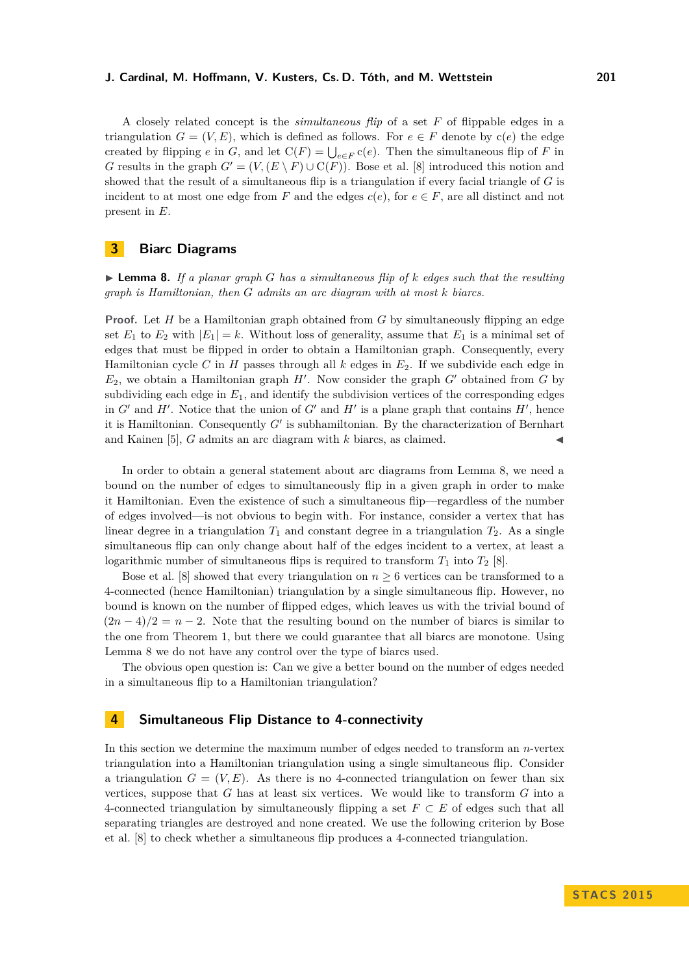A closely related concept is the *simultaneous flip* of a set *F* of flippable edges in a triangulation  $G = (V, E)$ , which is defined as follows. For  $e \in F$  denote by  $c(e)$  the edge created by flipping *e* in *G*, and let  $C(F) = \bigcup_{e \in F} c(e)$ . Then the simultaneous flip of *F* in *G* results in the graph  $G' = (V, (E \setminus F) \cup C(F))$ . Bose et al. [\[8\]](#page-12-13) introduced this notion and showed that the result of a simultaneous flip is a triangulation if every facial triangle of *G* is incident to at most one edge from *F* and the edges  $c(e)$ , for  $e \in F$ , are all distinct and not present in *E*.

## **3 Biarc Diagrams**

<span id="page-4-1"></span> $\blacktriangleright$  **Lemma 8.** If a planar graph G has a simultaneous flip of k edges such that the resulting *graph is Hamiltonian, then G admits an arc diagram with at most k biarcs.*

**Proof.** Let *H* be a Hamiltonian graph obtained from *G* by simultaneously flipping an edge set  $E_1$  to  $E_2$  with  $|E_1| = k$ . Without loss of generality, assume that  $E_1$  is a minimal set of edges that must be flipped in order to obtain a Hamiltonian graph. Consequently, every Hamiltonian cycle *C* in *H* passes through all *k* edges in *E*2. If we subdivide each edge in  $E_2$ , we obtain a Hamiltonian graph  $H'$ . Now consider the graph  $G'$  obtained from  $G$  by subdividing each edge in *E*1, and identify the subdivision vertices of the corresponding edges in  $G'$  and  $H'$ . Notice that the union of  $G'$  and  $H'$  is a plane graph that contains  $H'$ , hence it is Hamiltonian. Consequently  $G'$  is subhamiltonian. By the characterization of Bernhart and Kainen [\[5\]](#page-12-4),  $G$  admits an arc diagram with  $k$  biarcs, as claimed.

In order to obtain a general statement about arc diagrams from Lemma [8,](#page-4-1) we need a bound on the number of edges to simultaneously flip in a given graph in order to make it Hamiltonian. Even the existence of such a simultaneous flip—regardless of the number of edges involved—is not obvious to begin with. For instance, consider a vertex that has linear degree in a triangulation  $T_1$  and constant degree in a triangulation  $T_2$ . As a single simultaneous flip can only change about half of the edges incident to a vertex, at least a logarithmic number of simultaneous flips is required to transform  $T_1$  into  $T_2$  [\[8\]](#page-12-13).

Bose et al. [\[8\]](#page-12-13) showed that every triangulation on  $n \geq 6$  vertices can be transformed to a 4-connected (hence Hamiltonian) triangulation by a single simultaneous flip. However, no bound is known on the number of flipped edges, which leaves us with the trivial bound of  $(2n-4)/2 = n-2$ . Note that the resulting bound on the number of biarcs is similar to the one from Theorem [1,](#page-1-1) but there we could guarantee that all biarcs are monotone. Using Lemma [8](#page-4-1) we do not have any control over the type of biarcs used.

The obvious open question is: Can we give a better bound on the number of edges needed in a simultaneous flip to a Hamiltonian triangulation?

### <span id="page-4-0"></span>**4 Simultaneous Flip Distance to 4-connectivity**

In this section we determine the maximum number of edges needed to transform an *n*-vertex triangulation into a Hamiltonian triangulation using a single simultaneous flip. Consider a triangulation  $G = (V, E)$ . As there is no 4-connected triangulation on fewer than six vertices, suppose that *G* has at least six vertices. We would like to transform *G* into a 4-connected triangulation by simultaneously flipping a set *F* ⊂ *E* of edges such that all separating triangles are destroyed and none created. We use the following criterion by Bose et al. [\[8\]](#page-12-13) to check whether a simultaneous flip produces a 4-connected triangulation.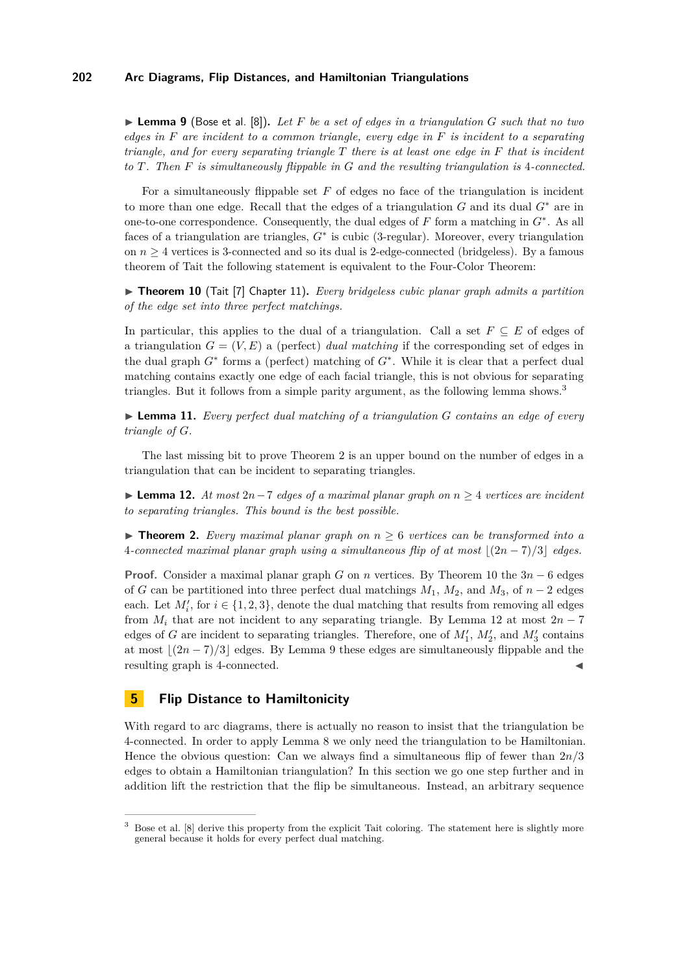<span id="page-5-4"></span>I **Lemma 9** (Bose et al. [\[8\]](#page-12-13))**.** *Let F be a set of edges in a triangulation G such that no two edges in F are incident to a common triangle, every edge in F is incident to a separating triangle, and for every separating triangle T there is at least one edge in F that is incident to T. Then F is simultaneously flippable in G and the resulting triangulation is* 4*-connected.*

For a simultaneously flippable set *F* of edges no face of the triangulation is incident to more than one edge. Recall that the edges of a triangulation *G* and its dual *G*<sup>∗</sup> are in one-to-one correspondence. Consequently, the dual edges of *F* form a matching in *G*<sup>∗</sup> . As all faces of a triangulation are triangles, *G*<sup>∗</sup> is cubic (3-regular). Moreover, every triangulation on  $n \geq 4$  vertices is 3-connected and so its dual is 2-edge-connected (bridgeless). By a famous theorem of Tait the following statement is equivalent to the Four-Color Theorem:

<span id="page-5-2"></span>▶ **Theorem 10** (Tait [\[7\]](#page-12-19) Chapter 11). *Every bridgeless cubic planar graph admits a partition of the edge set into three perfect matchings.*

In particular, this applies to the dual of a triangulation. Call a set  $F \subseteq E$  of edges of a triangulation  $G = (V, E)$  a (perfect) *dual matching* if the corresponding set of edges in the dual graph  $G^*$  forms a (perfect) matching of  $G^*$ . While it is clear that a perfect dual matching contains exactly one edge of each facial triangle, this is not obvious for separating triangles. But it follows from a simple parity argument, as the following lemma shows.[3](#page-5-1)

<span id="page-5-5"></span>▶ **Lemma 11.** *Every perfect dual matching of a triangulation G contains an edge of every triangle of G.*

The last missing bit to prove Theorem [2](#page-2-1) is an upper bound on the number of edges in a triangulation that can be incident to separating triangles.

<span id="page-5-3"></span>I **Lemma 12.** *At most* 2*n*−7 *edges of a maximal planar graph on n* ≥ 4 *vertices are incident to separating triangles. This bound is the best possible.*

**► Theorem 2.** *Every maximal planar graph on*  $n \geq 6$  *vertices can be transformed into a* 4*-connected maximal planar graph using a simultaneous flip of at most*  $|(2n - 7)/3|$  *edges.* 

**Proof.** Consider a maximal planar graph *G* on *n* vertices. By Theorem [10](#page-5-2) the 3*n* − 6 edges of *G* can be partitioned into three perfect dual matchings  $M_1$ ,  $M_2$ , and  $M_3$ , of  $n-2$  edges each. Let  $M_i'$ , for  $i \in \{1, 2, 3\}$ , denote the dual matching that results from removing all edges from  $M_i$  that are not incident to any separating triangle. By Lemma [12](#page-5-3) at most  $2n-7$ edges of *G* are incident to separating triangles. Therefore, one of  $M'_1$ ,  $M'_2$ , and  $M'_3$  contains at most  $|(2n-7)/3|$  edges. By Lemma [9](#page-5-4) these edges are simultaneously flippable and the resulting graph is 4-connected.

#### <span id="page-5-0"></span>**5 Flip Distance to Hamiltonicity**

With regard to arc diagrams, there is actually no reason to insist that the triangulation be 4-connected. In order to apply Lemma [8](#page-4-1) we only need the triangulation to be Hamiltonian. Hence the obvious question: Can we always find a simultaneous flip of fewer than 2*n/*3 edges to obtain a Hamiltonian triangulation? In this section we go one step further and in addition lift the restriction that the flip be simultaneous. Instead, an arbitrary sequence

<span id="page-5-1"></span><sup>&</sup>lt;sup>3</sup> Bose et al. [\[8\]](#page-12-13) derive this property from the explicit Tait coloring. The statement here is slightly more general because it holds for every perfect dual matching.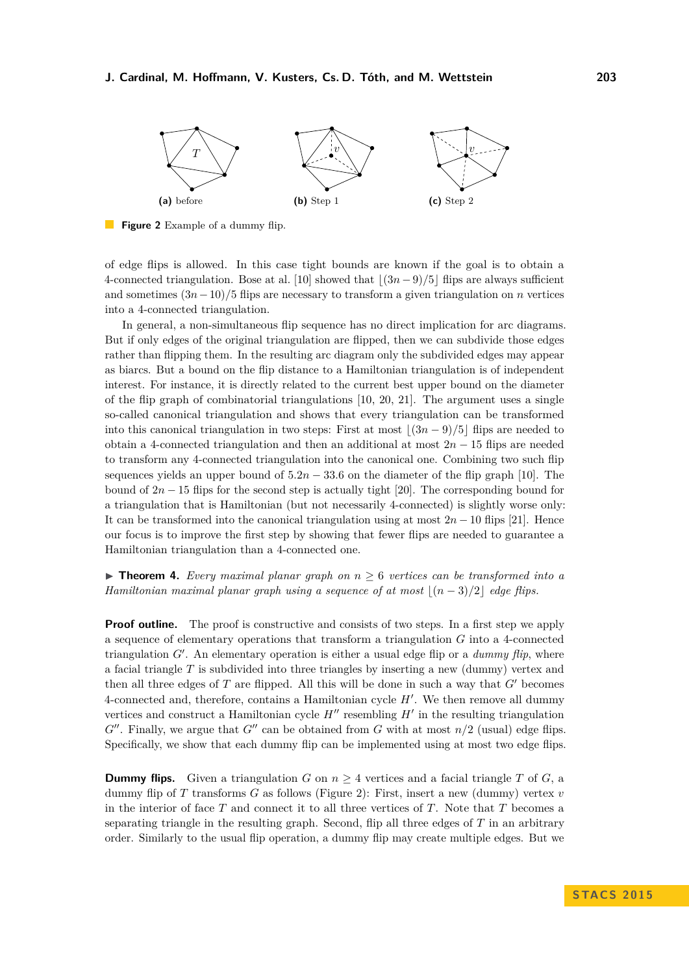<span id="page-6-0"></span>

**Figure 2** Example of a dummy flip.

of edge flips is allowed. In this case tight bounds are known if the goal is to obtain a 4-connected triangulation. Bose at al. [\[10\]](#page-12-14) showed that b(3*n* − 9)*/*5c flips are always sufficient and sometimes (3*n*−10)*/*5 flips are necessary to transform a given triangulation on *n* vertices into a 4-connected triangulation.

In general, a non-simultaneous flip sequence has no direct implication for arc diagrams. But if only edges of the original triangulation are flipped, then we can subdivide those edges rather than flipping them. In the resulting arc diagram only the subdivided edges may appear as biarcs. But a bound on the flip distance to a Hamiltonian triangulation is of independent interest. For instance, it is directly related to the current best upper bound on the diameter of the flip graph of combinatorial triangulations  $[10, 20, 21]$  $[10, 20, 21]$  $[10, 20, 21]$  $[10, 20, 21]$  $[10, 20, 21]$ . The argument uses a single so-called canonical triangulation and shows that every triangulation can be transformed into this canonical triangulation in two steps: First at most  $|(3n - 9)/5|$  flips are needed to obtain a 4-connected triangulation and then an additional at most 2*n* − 15 flips are needed to transform any 4-connected triangulation into the canonical one. Combining two such flip sequences yields an upper bound of  $5.2n - 33.6$  on the diameter of the flip graph [\[10\]](#page-12-14). The bound of  $2n - 15$  flips for the second step is actually tight [\[20\]](#page-12-20). The corresponding bound for a triangulation that is Hamiltonian (but not necessarily 4-connected) is slightly worse only: It can be transformed into the canonical triangulation using at most  $2n - 10$  flips [\[21\]](#page-12-16). Hence our focus is to improve the first step by showing that fewer flips are needed to guarantee a Hamiltonian triangulation than a 4-connected one.

**Theorem 4.** *Every maximal planar graph on*  $n \geq 6$  *vertices can be transformed into a Hamiltonian maximal planar graph using a sequence of at most*  $|(n-3)/2|$  *edge flips.* 

**Proof outline.** The proof is constructive and consists of two steps. In a first step we apply a sequence of elementary operations that transform a triangulation *G* into a 4-connected triangulation  $G'$ . An elementary operation is either a usual edge flip or a *dummy flip*, where a facial triangle *T* is subdivided into three triangles by inserting a new (dummy) vertex and then all three edges of  $T$  are flipped. All this will be done in such a way that  $G'$  becomes 4-connected and, therefore, contains a Hamiltonian cycle  $H'$ . We then remove all dummy vertices and construct a Hamiltonian cycle  $H''$  resembling  $H'$  in the resulting triangulation  $G''$ . Finally, we argue that  $G''$  can be obtained from G with at most  $n/2$  (usual) edge flips. Specifically, we show that each dummy flip can be implemented using at most two edge flips.

**Dummy flips.** Given a triangulation *G* on  $n \geq 4$  vertices and a facial triangle *T* of *G*, a dummy flip of *T* transforms *G* as follows (Figure [2\)](#page-6-0): First, insert a new (dummy) vertex *v* in the interior of face *T* and connect it to all three vertices of *T*. Note that *T* becomes a separating triangle in the resulting graph. Second, flip all three edges of *T* in an arbitrary order. Similarly to the usual flip operation, a dummy flip may create multiple edges. But we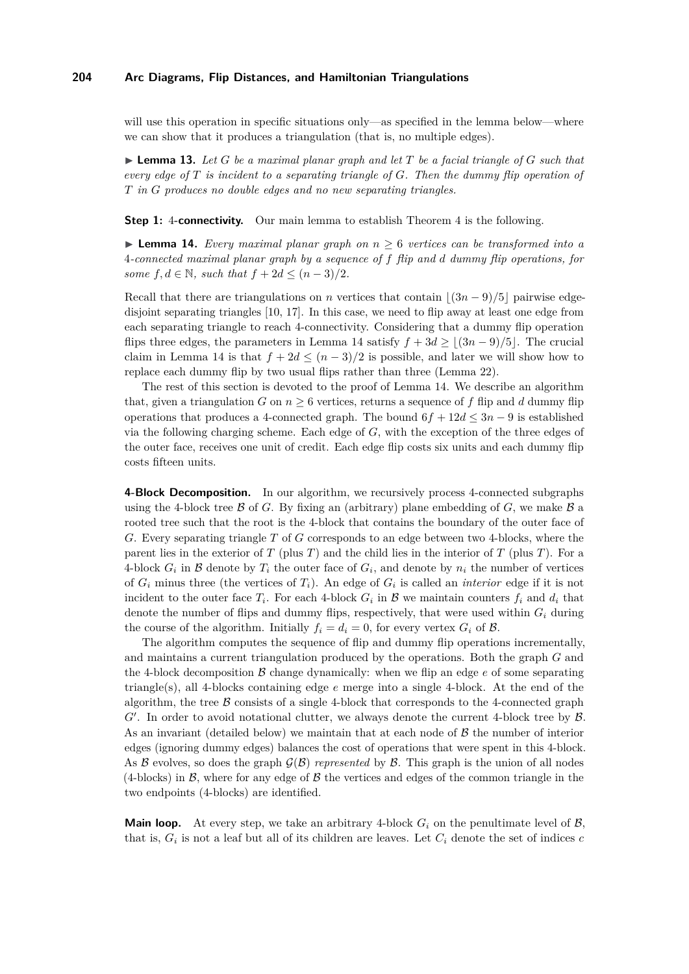will use this operation in specific situations only—as specified in the lemma below—where we can show that it produces a triangulation (that is, no multiple edges).

<span id="page-7-1"></span> $\blacktriangleright$  **Lemma 13.** Let *G* be a maximal planar graph and let *T* be a facial triangle of *G* such that *every edge of T is incident to a separating triangle of G. Then the dummy flip operation of T in G produces no double edges and no new separating triangles.*

**Step 1:** [4](#page-2-0)-connectivity. Our main lemma to establish Theorem 4 is the following.

<span id="page-7-0"></span>**► Lemma 14.** *Every maximal planar graph on*  $n \geq 6$  *vertices can be transformed into a* 4*-connected maximal planar graph by a sequence of f flip and d dummy flip operations, for some*  $f, d \in \mathbb{N}$ *, such that*  $f + 2d \leq (n-3)/2$ *.* 

Recall that there are triangulations on *n* vertices that contain  $|(3n-9)/5|$  pairwise edgedisjoint separating triangles [\[10,](#page-12-14) [17\]](#page-12-21). In this case, we need to flip away at least one edge from each separating triangle to reach 4-connectivity. Considering that a dummy flip operation flips three edges, the parameters in Lemma [14](#page-7-0) satisfy  $f + 3d \ge |(3n - 9)/5|$ . The crucial claim in Lemma [14](#page-7-0) is that  $f + 2d \leq (n-3)/2$  is possible, and later we will show how to replace each dummy flip by two usual flips rather than three (Lemma [22\)](#page-11-3).

The rest of this section is devoted to the proof of Lemma [14.](#page-7-0) We describe an algorithm that, given a triangulation *G* on  $n \geq 6$  vertices, returns a sequence of *f* flip and *d* dummy flip operations that produces a 4-connected graph. The bound  $6f + 12d \leq 3n - 9$  is established via the following charging scheme. Each edge of *G*, with the exception of the three edges of the outer face, receives one unit of credit. Each edge flip costs six units and each dummy flip costs fifteen units.

**4-Block Decomposition.** In our algorithm, we recursively process 4-connected subgraphs using the 4-block tree  $\beta$  of *G*. By fixing an (arbitrary) plane embedding of *G*, we make  $\beta$  a rooted tree such that the root is the 4-block that contains the boundary of the outer face of *G*. Every separating triangle *T* of *G* corresponds to an edge between two 4-blocks, where the parent lies in the exterior of *T* (plus *T*) and the child lies in the interior of *T* (plus *T*). For a 4-block  $G_i$  in  $\mathcal B$  denote by  $T_i$  the outer face of  $G_i$ , and denote by  $n_i$  the number of vertices of  $G_i$  minus three (the vertices of  $T_i$ ). An edge of  $G_i$  is called an *interior* edge if it is not incident to the outer face  $T_i$ . For each 4-block  $G_i$  in  $\mathcal{B}$  we maintain counters  $f_i$  and  $d_i$  that denote the number of flips and dummy flips, respectively, that were used within *G<sup>i</sup>* during the course of the algorithm. Initially  $f_i = d_i = 0$ , for every vertex  $G_i$  of  $\beta$ .

The algorithm computes the sequence of flip and dummy flip operations incrementally, and maintains a current triangulation produced by the operations. Both the graph *G* and the 4-block decomposition  $\beta$  change dynamically: when we flip an edge  $e$  of some separating triangle(s), all 4-blocks containing edge *e* merge into a single 4-block. At the end of the algorithm, the tree  $\beta$  consists of a single 4-block that corresponds to the 4-connected graph  $G'$ . In order to avoid notational clutter, we always denote the current 4-block tree by  $\mathcal{B}$ . As an invariant (detailed below) we maintain that at each node of  $\beta$  the number of interior edges (ignoring dummy edges) balances the cost of operations that were spent in this 4-block. As B evolves, so does the graph  $\mathcal{G}(\mathcal{B})$  *represented* by  $\mathcal{B}$ . This graph is the union of all nodes  $(4\text{-blocks})$  in  $\mathcal{B}$ , where for any edge of  $\mathcal{B}$  the vertices and edges of the common triangle in the two endpoints (4-blocks) are identified.

**Main loop.** At every step, we take an arbitrary 4-block  $G_i$  on the penultimate level of  $\mathcal{B}$ , that is,  $G_i$  is not a leaf but all of its children are leaves. Let  $C_i$  denote the set of indices  $c$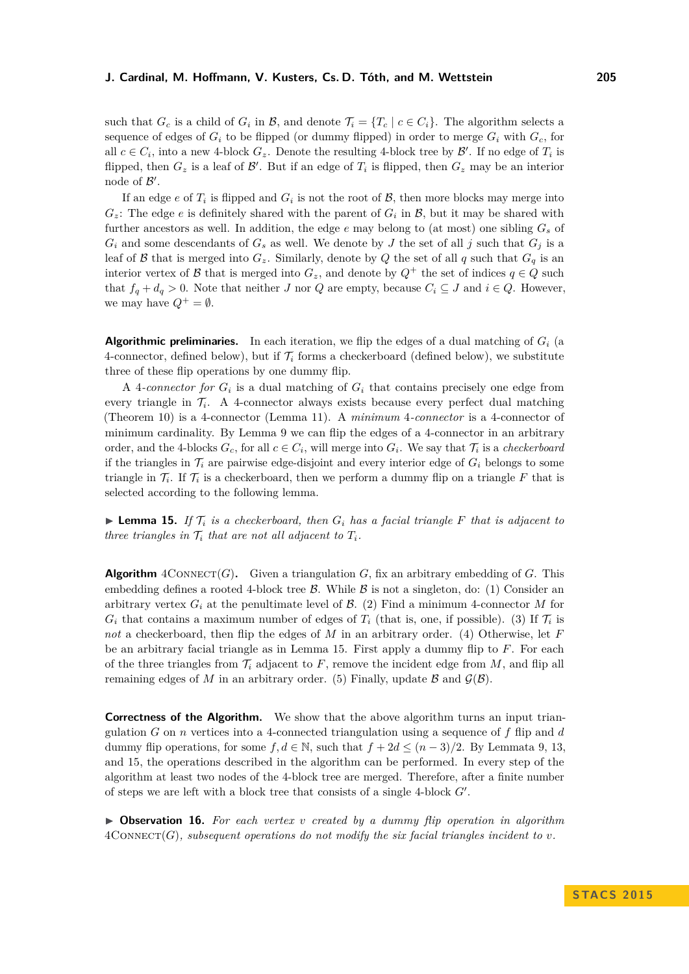such that  $G_c$  is a child of  $G_i$  in  $\mathcal{B}$ , and denote  $\mathcal{T}_i = \{T_c \mid c \in C_i\}$ . The algorithm selects a sequence of edges of  $G_i$  to be flipped (or dummy flipped) in order to merge  $G_i$  with  $G_c$ , for all  $c \in C_i$ , into a new 4-block  $G_z$ . Denote the resulting 4-block tree by  $\mathcal{B}'$ . If no edge of  $T_i$  is flipped, then  $G_z$  is a leaf of  $\mathcal{B}'$ . But if an edge of  $T_i$  is flipped, then  $G_z$  may be an interior node of  $\mathcal{B}'$ .

If an edge  $e$  of  $T_i$  is flipped and  $G_i$  is not the root of  $\mathcal{B}$ , then more blocks may merge into  $G_z$ : The edge *e* is definitely shared with the parent of  $G_i$  in  $B$ , but it may be shared with further ancestors as well. In addition, the edge *e* may belong to (at most) one sibling *G<sup>s</sup>* of  $G_i$  and some descendants of  $G_s$  as well. We denote by  $J$  the set of all  $j$  such that  $G_j$  is a leaf of  $\beta$  that is merged into  $G_z$ . Similarly, denote by  $Q$  the set of all  $q$  such that  $G_q$  is an interior vertex of B that is merged into  $G_z$ , and denote by  $Q^+$  the set of indices  $q \in Q$  such that  $f_q + d_q > 0$ . Note that neither *J* nor *Q* are empty, because  $C_i \subseteq J$  and  $i \in Q$ . However, we may have  $Q^+ = \emptyset$ .

**Algorithmic preliminaries.** In each iteration, we flip the edges of a dual matching of  $G_i$  (a 4-connector, defined below), but if  $\mathcal{T}_i$  forms a checkerboard (defined below), we substitute three of these flip operations by one dummy flip.

A 4-connector for  $G_i$  is a dual matching of  $G_i$  that contains precisely one edge from every triangle in  $\mathcal{T}_i$ . A 4-connector always exists because every perfect dual matching (Theorem [10\)](#page-5-2) is a 4-connector (Lemma [11\)](#page-5-5). A *minimum* 4*-connector* is a 4-connector of minimum cardinality. By Lemma [9](#page-5-4) we can flip the edges of a 4-connector in an arbitrary order, and the 4-blocks  $G_c$ , for all  $c \in C_i$ , will merge into  $G_i$ . We say that  $\mathcal{T}_i$  is a *checkerboard* if the triangles in  $\mathcal{T}_i$  are pairwise edge-disjoint and every interior edge of  $G_i$  belongs to some triangle in  $\mathcal{T}_i$ . If  $\mathcal{T}_i$  is a checkerboard, then we perform a dummy flip on a triangle F that is selected according to the following lemma.

<span id="page-8-0"></span>**I Lemma 15.** If  $\mathcal{T}_i$  is a checkerboard, then  $G_i$  has a facial triangle F that is adjacent to *three triangles in*  $\mathcal{T}_i$  *that are not all adjacent to*  $T_i$ *.* 

**Algorithm**  $4 \text{ConvECT}(G)$ . Given a triangulation *G*, fix an arbitrary embedding of *G*. This embedding defines a rooted 4-block tree  $\beta$ . While  $\beta$  is not a singleton, do: (1) Consider an arbitrary vertex  $G_i$  at the penultimate level of  $\mathcal{B}$ . (2) Find a minimum 4-connector M for  $G_i$  that contains a maximum number of edges of  $T_i$  (that is, one, if possible). (3) If  $\mathcal{T}_i$  is *not* a checkerboard, then flip the edges of *M* in an arbitrary order. (4) Otherwise, let *F* be an arbitrary facial triangle as in Lemma [15.](#page-8-0) First apply a dummy flip to *F*. For each of the three triangles from  $\mathcal{T}_i$  adjacent to  $F$ , remove the incident edge from  $M$ , and flip all remaining edges of *M* in an arbitrary order. (5) Finally, update  $\beta$  and  $\mathcal{G}(\beta)$ .

**Correctness of the Algorithm.** We show that the above algorithm turns an input triangulation *G* on *n* vertices into a 4-connected triangulation using a sequence of *f* flip and *d* dummy flip operations, for some  $f, d \in \mathbb{N}$ , such that  $f + 2d \leq (n-3)/2$ . By Lemmata [9,](#page-5-4) [13,](#page-7-1) and [15,](#page-8-0) the operations described in the algorithm can be performed. In every step of the algorithm at least two nodes of the 4-block tree are merged. Therefore, after a finite number of steps we are left with a block tree that consists of a single  $4$ -block  $G'$ .

I **Observation 16.** *For each vertex v created by a dummy flip operation in algorithm*  $4 \text{COMNET}(G)$ *, subsequent operations do not modify the six facial triangles incident to v.*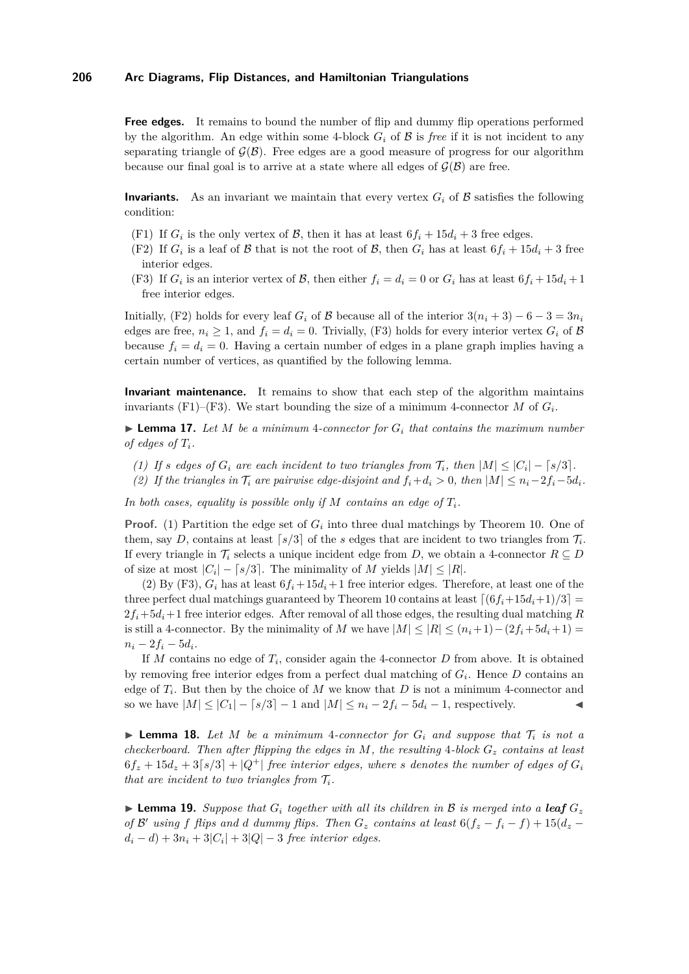**Free edges.** It remains to bound the number of flip and dummy flip operations performed by the algorithm. An edge within some 4-block  $G_i$  of  $\beta$  is *free* if it is not incident to any separating triangle of  $\mathcal{G}(\mathcal{B})$ . Free edges are a good measure of progress for our algorithm because our final goal is to arrive at a state where all edges of  $\mathcal{G}(\mathcal{B})$  are free.

**Invariants.** As an invariant we maintain that every vertex  $G_i$  of  $\beta$  satisfies the following condition:

- <span id="page-9-2"></span>(F1) If  $G_i$  is the only vertex of  $\mathcal{B}$ , then it has at least  $6f_i + 15d_i + 3$  free edges.
- <span id="page-9-0"></span>(F2) If  $G_i$  is a leaf of  $\beta$  that is not the root of  $\beta$ , then  $G_i$  has at least  $6f_i + 15d_i + 3$  free interior edges.
- <span id="page-9-1"></span>(F3) If  $G_i$  is an interior vertex of  $\mathcal{B}$ , then either  $f_i = d_i = 0$  or  $G_i$  has at least  $6f_i + 15d_i + 1$ free interior edges.

Initially, [\(F2\)](#page-9-0) holds for every leaf  $G_i$  of B because all of the interior  $3(n_i + 3) - 6 - 3 = 3n_i$ edges are free,  $n_i \geq 1$ , and  $f_i = d_i = 0$ . Trivially, [\(F3\)](#page-9-1) holds for every interior vertex  $G_i$  of  $\beta$ because  $f_i = d_i = 0$ . Having a certain number of edges in a plane graph implies having a certain number of vertices, as quantified by the following lemma.

**Invariant maintenance.** It remains to show that each step of the algorithm maintains invariants [\(F1\)–](#page-9-2)[\(F3\).](#page-9-1) We start bounding the size of a minimum 4-connector  $M$  of  $G_i$ .

<span id="page-9-6"></span> $\blacktriangleright$  **Lemma 17.** Let *M* be a minimum 4-connector for  $G_i$  that contains the maximum number *of edges of*  $T_i$ *.* 

- <span id="page-9-3"></span>*(1) If s* edges of  $G_i$  are each incident to two triangles from  $\mathcal{T}_i$ , then  $|M| \leq |C_i| - \lceil s/3 \rceil$ .
- <span id="page-9-4"></span>*(2)* If the triangles in  $\mathcal{T}_i$  are pairwise edge-disjoint and  $f_i + d_i > 0$ , then  $|M| \leq n_i - 2f_i - 5d_i$ .

In both cases, equality is possible only if M contains an edge of  $T_i$ .

**Proof.** [\(1\)](#page-9-3) Partition the edge set of  $G_i$  into three dual matchings by Theorem [10.](#page-5-2) One of them, say *D*, contains at least  $\lceil s/3 \rceil$  of the *s* edges that are incident to two triangles from  $\mathcal{T}_i$ . If every triangle in  $\mathcal{T}_i$  selects a unique incident edge from *D*, we obtain a 4-connector  $R \subseteq D$ of size at most  $|C_i| - \lceil s/3 \rceil$ . The minimality of *M* yields  $|M| \leq |R|$ .

[\(2\)](#page-9-4) By [\(F3\),](#page-9-1)  $G_i$  has at least  $6f_i + 15d_i + 1$  free interior edges. Therefore, at least one of the three perfect dual matchings guaranteed by Theorem [10](#page-5-2) contains at least  $\lfloor (6f_i+15d_i+1)/3 \rfloor$  $2f_i+5d_i+1$  free interior edges. After removal of all those edges, the resulting dual matching *R* is still a 4-connector. By the minimality of *M* we have  $|M| \leq |R| \leq (n_i+1)-(2f_i+5d_i+1)=$  $n_i - 2f_i - 5d_i$ .

If *M* contains no edge of *T<sup>i</sup>* , consider again the 4-connector *D* from above. It is obtained by removing free interior edges from a perfect dual matching of *G<sup>i</sup>* . Hence *D* contains an edge of  $T_i$ . But then by the choice of  $M$  we know that  $D$  is not a minimum 4-connector and so we have  $|M| \leq |C_1| - \lceil s/3 \rceil - 1$  and  $|M| \leq n_i - 2f_i - 5d_i - 1$ , respectively.

<span id="page-9-5"></span>**I Lemma 18.** Let M be a minimum 4-connector for  $G_i$  and suppose that  $T_i$  is not a *checkerboard. Then after flipping the edges in M, the resulting* 4*-block G<sup>z</sup> contains at least*  $6f_z + 15d_z + 3[s/3] + |Q^+|$  free interior edges, where *s* denotes the number of edges of  $G_i$ *that are incident to two triangles from*  $\mathcal{T}_i$ *.* 

<span id="page-9-7"></span>**Example 19.** *Suppose that*  $G_i$  *together with all its children in*  $B$  *is merged into a leaf*  $G_z$ *of*  $\mathcal{B}'$  *using*  $f$  *flips and*  $d$  *dummy flips. Then*  $G_z$  *contains at least*  $6(f_z - f_i - f) + 15(d_z - f_i)$  $d_i - d$ ) +  $3n_i + 3|C_i| + 3|Q| - 3$  *free interior edges.*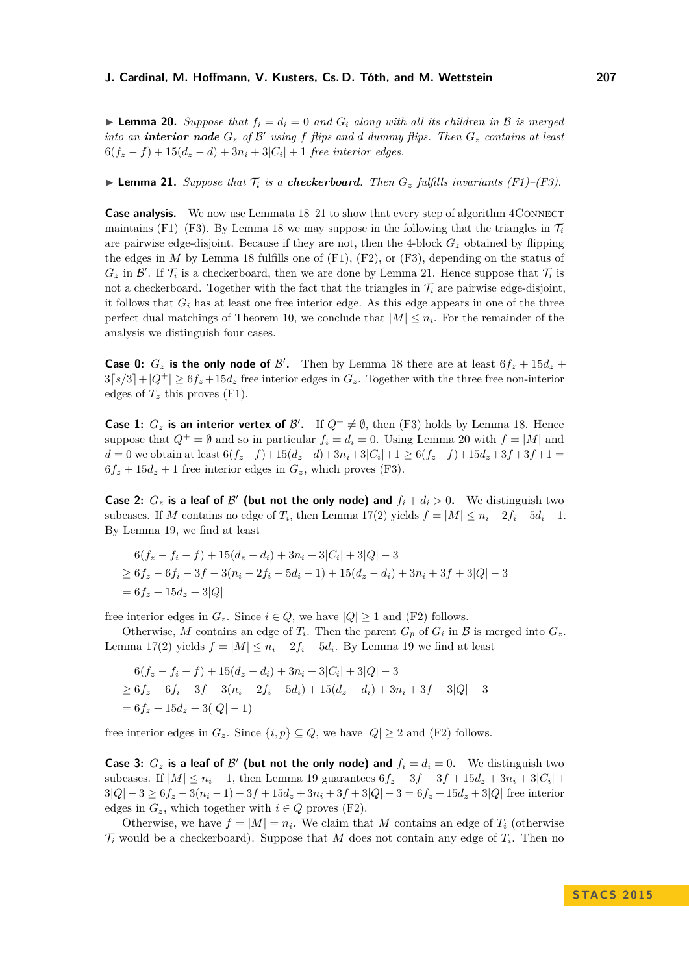<span id="page-10-1"></span>**Lemma 20.** Suppose that  $f_i = d_i = 0$  and  $G_i$  along with all its children in B is merged *into an interior node*  $G_z$  *of*  $\mathcal{B}'$  *using*  $f$  *flips and*  $d$  *dummy flips. Then*  $G_z$  *contains at least*  $6(f_z - f) + 15(d_z - d) + 3n_i + 3|C_i| + 1$  *free interior edges.* 

<span id="page-10-0"></span> $\blacktriangleright$  **Lemma 21.** *Suppose that*  $\mathcal{T}_i$  *is a checkerboard. Then*  $G_z$  *fulfills invariants (F1)[–\(F3\).](#page-9-1)* 

**Case analysis.** We now use Lemmata [18](#page-9-5)[–21](#page-10-0) to show that every step of algorithm 4CONNECT maintains [\(F1\)](#page-9-2)[–\(F3\).](#page-9-1) By Lemma [18](#page-9-5) we may suppose in the following that the triangles in  $\mathcal{T}_i$ are pairwise edge-disjoint. Because if they are not, then the 4-block  $G<sub>z</sub>$  obtained by flipping the edges in  $M$  by Lemma [18](#page-9-5) fulfills one of  $(F1)$ ,  $(F2)$ , or  $(F3)$ , depending on the status of  $G_z$  in  $\mathcal{B}'$ . If  $\mathcal{T}_i$  is a checkerboard, then we are done by Lemma [21.](#page-10-0) Hence suppose that  $\mathcal{T}_i$  is not a checkerboard. Together with the fact that the triangles in  $\mathcal{T}_i$  are pairwise edge-disjoint. it follows that  $G_i$  has at least one free interior edge. As this edge appears in one of the three perfect dual matchings of Theorem [10,](#page-5-2) we conclude that  $|M| \leq n_i$ . For the remainder of the analysis we distinguish four cases.

**Case 0:**  $G_z$  is the only node of  $\mathcal{B}'$ . Then by Lemma [18](#page-9-5) there are at least  $6f_z + 15d_z +$  $3[s/3]+|Q^+| \geq 6f_z+15d_z$  free interior edges in  $G_z$ . Together with the three free non-interior edges of  $T_z$  this proves [\(F1\).](#page-9-2)

**Case 1:**  $G_z$  is an interior vertex of  $\mathcal{B}'$ . If  $Q^+ \neq \emptyset$ , then [\(F3\)](#page-9-1) holds by Lemma [18.](#page-9-5) Hence suppose that  $Q^+ = \emptyset$  and so in particular  $f_i = d_i = 0$ . Using Lemma [20](#page-10-1) with  $f = |M|$  and  $d = 0$  we obtain at least  $6(f_z - f) + 15(d_z - d) + 3n_i + 3|C_i| + 1 \ge 6(f_z - f) + 15d_z + 3f + 3f + 1 =$  $6f_z + 15d_z + 1$  free interior edges in  $G_z$ , which proves [\(F3\).](#page-9-1)

**Case 2:**  $G_z$  is a leaf of  $\mathcal{B}'$  (but not the only node) and  $f_i + d_i > 0$ . We distinguish two subcases. If *M* contains no edge of  $T_i$ , then Lemma [17](#page-9-6)[\(2\)](#page-9-4) yields  $f = |M| \leq n_i - 2f_i - 5d_i - 1$ . By Lemma [19,](#page-9-7) we find at least

$$
6(f_z - f_i - f) + 15(d_z - d_i) + 3n_i + 3|C_i| + 3|Q| - 3
$$
  
\n
$$
\geq 6f_z - 6f_i - 3f - 3(n_i - 2f_i - 5d_i - 1) + 15(d_z - d_i) + 3n_i + 3f + 3|Q| - 3
$$
  
\n
$$
= 6f_z + 15d_z + 3|Q|
$$

free interior edges in  $G_z$ . Since  $i \in Q$ , we have  $|Q| \geq 1$  and [\(F2\)](#page-9-0) follows.

Otherwise, M contains an edge of  $T_i$ . Then the parent  $G_p$  of  $G_i$  in B is merged into  $G_z$ . Lemma [17](#page-9-6)[\(2\)](#page-9-4) yields  $f = |M| \leq n_i - 2f_i - 5d_i$ . By Lemma [19](#page-9-7) we find at least

$$
6(f_z - f_i - f) + 15(d_z - d_i) + 3n_i + 3|C_i| + 3|Q| - 3
$$
  
\n
$$
\geq 6f_z - 6f_i - 3f - 3(n_i - 2f_i - 5d_i) + 15(d_z - d_i) + 3n_i + 3f + 3|Q| - 3
$$
  
\n
$$
= 6f_z + 15d_z + 3(|Q| - 1)
$$

free interior edges in  $G_z$ . Since  $\{i, p\} \subseteq Q$ , we have  $|Q| \ge 2$  and [\(F2\)](#page-9-0) follows.

**Case 3:**  $G_z$  is a leaf of  $\mathcal{B}'$  (but not the only node) and  $f_i = d_i = 0$ . We distinguish two subcases. If  $|M| \leq n_i - 1$ , then Lemma [19](#page-9-7) guarantees  $6f_z - 3f - 3f + 15d_z + 3n_i + 3|C_i| +$  $3|Q| - 3 \ge 6f_z - 3(n_i - 1) - 3f + 15d_z + 3n_i + 3f + 3|Q| - 3 = 6f_z + 15d_z + 3|Q|$  free interior edges in  $G_z$ , which together with  $i \in Q$  proves [\(F2\).](#page-9-0)

Otherwise, we have  $f = |M| = n_i$ . We claim that M contains an edge of  $T_i$  (otherwise  $\mathcal{T}_i$  would be a checkerboard). Suppose that *M* does not contain any edge of  $T_i$ . Then no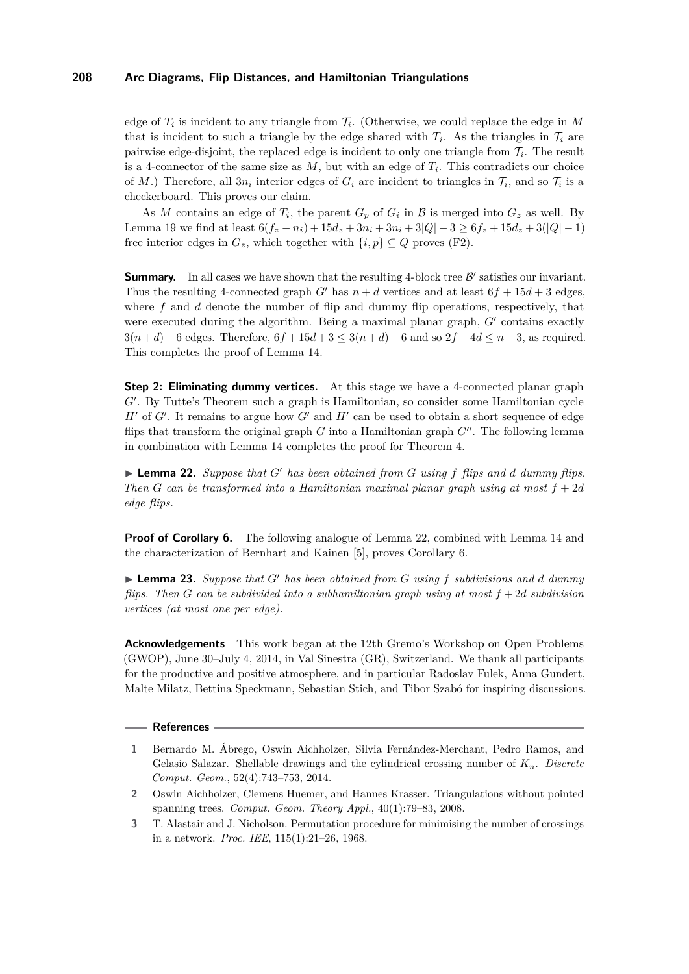edge of  $T_i$  is incident to any triangle from  $\mathcal{T}_i$ . (Otherwise, we could replace the edge in M that is incident to such a triangle by the edge shared with  $T_i$ . As the triangles in  $\mathcal{T}_i$  are pairwise edge-disjoint, the replaced edge is incident to only one triangle from T*<sup>i</sup>* . The result is a 4-connector of the same size as  $M$ , but with an edge of  $T_i$ . This contradicts our choice of *M*.) Therefore, all  $3n_i$  interior edges of  $G_i$  are incident to triangles in  $\mathcal{T}_i$ , and so  $\mathcal{T}_i$  is a checkerboard. This proves our claim.

As *M* contains an edge of  $T_i$ , the parent  $G_p$  of  $G_i$  in  $\mathcal B$  is merged into  $G_z$  as well. By Lemma [19](#page-9-7) we find at least  $6(f_z - n_i) + 15d_z + 3n_i + 3|Q| - 3 \ge 6f_z + 15d_z + 3(|Q| - 1)$ free interior edges in  $G_z$ , which together with  $\{i, p\} \subseteq Q$  proves [\(F2\).](#page-9-0)

**Summary.** In all cases we have shown that the resulting 4-block tree  $\mathcal{B}'$  satisfies our invariant. Thus the resulting 4-connected graph *G*<sup> $\prime$ </sup> has  $n + d$  vertices and at least  $6f + 15d + 3$  edges, where f and d denote the number of flip and dummy flip operations, respectively, that were executed during the algorithm. Being a maximal planar graph,  $G'$  contains exactly  $3(n+d)-6$  edges. Therefore,  $6f+15d+3 \leq 3(n+d)-6$  and so  $2f+4d \leq n-3$ , as required. This completes the proof of Lemma [14.](#page-7-0)

**Step 2: Eliminating dummy vertices.** At this stage we have a 4-connected planar graph G'. By Tutte's Theorem such a graph is Hamiltonian, so consider some Hamiltonian cycle  $H'$  of  $G'$ . It remains to argue how  $G'$  and  $H'$  can be used to obtain a short sequence of edge flips that transform the original graph  $G$  into a Hamiltonian graph  $G''$ . The following lemma in combination with Lemma [14](#page-7-0) completes the proof for Theorem [4.](#page-2-0)

<span id="page-11-3"></span> $\blacktriangleright$  **Lemma 22.** *Suppose that G*<sup> $\prime$ </sup> *has been obtained from G using f flips and d dummy flips. Then G* can be transformed into a Hamiltonian maximal planar graph using at most  $f + 2d$ *edge flips.*

**Proof of Corollary [6.](#page-2-2)** The following analogue of Lemma [22,](#page-11-3) combined with Lemma [14](#page-7-0) and the characterization of Bernhart and Kainen [\[5\]](#page-12-4), proves Corollary [6.](#page-2-2)

 $\blacktriangleright$  **Lemma 23.** *Suppose that G*<sup> $\prime$ </sup> *has been obtained from G using f subdivisions and d dummy flips. Then G can be subdivided into a subhamiltonian graph using at most f* + 2*d subdivision vertices (at most one per edge).*

**Acknowledgements** This work began at the 12th Gremo's Workshop on Open Problems (GWOP), June 30–July 4, 2014, in Val Sinestra (GR), Switzerland. We thank all participants for the productive and positive atmosphere, and in particular Radoslav Fulek, Anna Gundert, Malte Milatz, Bettina Speckmann, Sebastian Stich, and Tibor Szabó for inspiring discussions.

#### **References**

- <span id="page-11-1"></span>**1** Bernardo M. Ábrego, Oswin Aichholzer, Silvia Fernández-Merchant, Pedro Ramos, and Gelasio Salazar. Shellable drawings and the cylindrical crossing number of *Kn*. *Discrete Comput. Geom.*, 52(4):743–753, 2014.
- <span id="page-11-2"></span>**2** Oswin Aichholzer, Clemens Huemer, and Hannes Krasser. Triangulations without pointed spanning trees. *Comput. Geom. Theory Appl.*, 40(1):79–83, 2008.
- <span id="page-11-0"></span>**3** T. Alastair and J. Nicholson. Permutation procedure for minimising the number of crossings in a network. *Proc. IEE*, 115(1):21–26, 1968.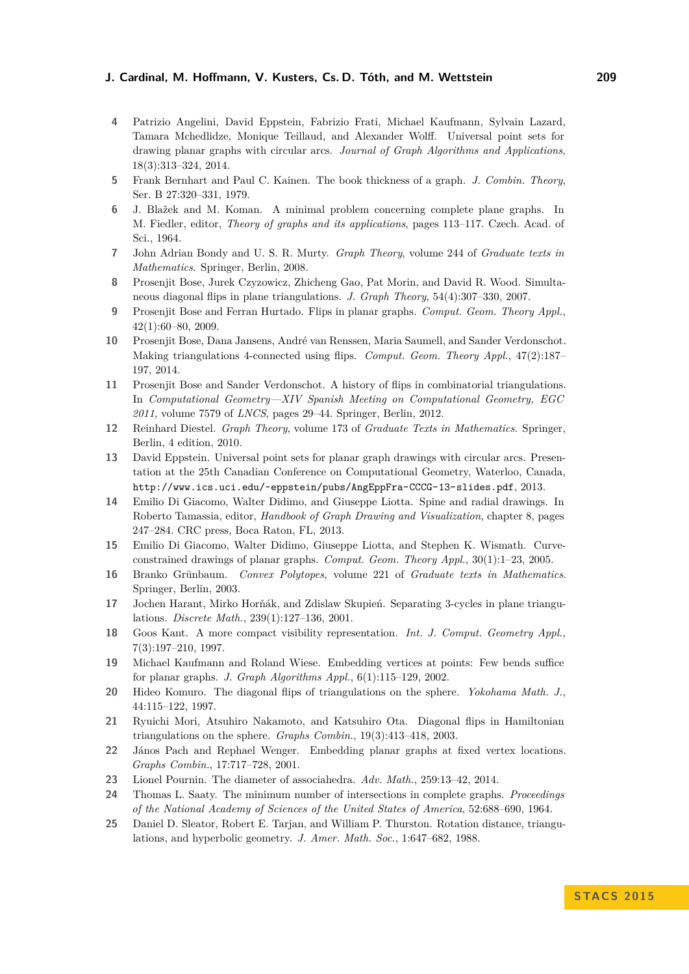- <span id="page-12-3"></span>**4** Patrizio Angelini, David Eppstein, Fabrizio Frati, Michael Kaufmann, Sylvain Lazard, Tamara Mchedlidze, Monique Teillaud, and Alexander Wolff. Universal point sets for drawing planar graphs with circular arcs. *Journal of Graph Algorithms and Applications*, 18(3):313–324, 2014.
- <span id="page-12-4"></span>**5** Frank Bernhart and Paul C. Kainen. The book thickness of a graph. *J. Combin. Theory*, Ser. B 27:320–331, 1979.
- <span id="page-12-2"></span>**6** J. Blažek and M. Koman. A minimal problem concerning complete plane graphs. In M. Fiedler, editor, *Theory of graphs and its applications*, pages 113–117. Czech. Acad. of Sci., 1964.
- <span id="page-12-19"></span>**7** John Adrian Bondy and U. S. R. Murty. *Graph Theory*, volume 244 of *Graduate texts in Mathematics*. Springer, Berlin, 2008.
- <span id="page-12-13"></span>**8** Prosenjit Bose, Jurek Czyzowicz, Zhicheng Gao, Pat Morin, and David R. Wood. Simultaneous diagonal flips in plane triangulations. *J. Graph Theory*, 54(4):307–330, 2007.
- <span id="page-12-9"></span>**9** Prosenjit Bose and Ferran Hurtado. Flips in planar graphs. *Comput. Geom. Theory Appl.*, 42(1):60–80, 2009.
- <span id="page-12-14"></span>**10** Prosenjit Bose, Dana Jansens, André van Renssen, Maria Saumell, and Sander Verdonschot. Making triangulations 4-connected using flips. *Comput. Geom. Theory Appl.*, 47(2):187– 197, 2014.
- <span id="page-12-10"></span>**11** Prosenjit Bose and Sander Verdonschot. A history of flips in combinatorial triangulations. In *Computational Geometry—XIV Spanish Meeting on Computational Geometry, EGC 2011*, volume 7579 of *LNCS*, pages 29–44. Springer, Berlin, 2012.
- <span id="page-12-17"></span>**12** Reinhard Diestel. *Graph Theory*, volume 173 of *Graduate Texts in Mathematics*. Springer, Berlin, 4 edition, 2010.
- <span id="page-12-7"></span>**13** David Eppstein. Universal point sets for planar graph drawings with circular arcs. Presentation at the 25th Canadian Conference on Computational Geometry, Waterloo, Canada, <http://www.ics.uci.edu/~eppstein/pubs/AngEppFra-CCCG-13-slides.pdf>, 2013.
- <span id="page-12-1"></span>**14** Emilio Di Giacomo, Walter Didimo, and Giuseppe Liotta. Spine and radial drawings. In Roberto Tamassia, editor, *Handbook of Graph Drawing and Visualization*, chapter 8, pages 247–284. CRC press, Boca Raton, FL, 2013.
- <span id="page-12-6"></span>**15** Emilio Di Giacomo, Walter Didimo, Giuseppe Liotta, and Stephen K. Wismath. Curveconstrained drawings of planar graphs. *Comput. Geom. Theory Appl.*, 30(1):1–23, 2005.
- <span id="page-12-15"></span>**16** Branko Grünbaum. *Convex Polytopes*, volume 221 of *Graduate texts in Mathematics*. Springer, Berlin, 2003.
- <span id="page-12-21"></span>**17** Jochen Harant, Mirko Horňák, and Zdislaw Skupień. Separating 3-cycles in plane triangulations. *Discrete Math.*, 239(1):127–136, 2001.
- <span id="page-12-18"></span>**18** Goos Kant. A more compact visibility representation. *Int. J. Comput. Geometry Appl.*, 7(3):197–210, 1997.
- <span id="page-12-8"></span>**19** Michael Kaufmann and Roland Wiese. Embedding vertices at points: Few bends suffice for planar graphs. *J. Graph Algorithms Appl.*, 6(1):115–129, 2002.
- <span id="page-12-20"></span>**20** Hideo Komuro. The diagonal flips of triangulations on the sphere. *Yokohama Math. J.*, 44:115–122, 1997.
- <span id="page-12-16"></span>**21** Ryuichi Mori, Atsuhiro Nakamoto, and Katsuhiro Ota. Diagonal flips in Hamiltonian triangulations on the sphere. *Graphs Combin.*, 19(3):413–418, 2003.
- <span id="page-12-5"></span>**22** János Pach and Rephael Wenger. Embedding planar graphs at fixed vertex locations. *Graphs Combin.*, 17:717–728, 2001.
- <span id="page-12-12"></span>**23** Lionel Pournin. The diameter of associahedra. *Adv. Math.*, 259:13–42, 2014.
- <span id="page-12-0"></span>**24** Thomas L. Saaty. The minimum number of intersections in complete graphs. *Proceedings of the National Academy of Sciences of the United States of America*, 52:688–690, 1964.
- <span id="page-12-11"></span>**25** Daniel D. Sleator, Robert E. Tarjan, and William P. Thurston. Rotation distance, triangulations, and hyperbolic geometry. *J. Amer. Math. Soc.*, 1:647–682, 1988.